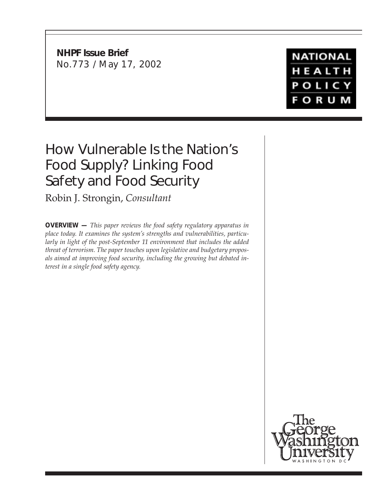**NHPF Issue Brief** No.773 / May 17, 2002

**NATIONAL** HEALTH POLICY **FORUM** 

# How Vulnerable Is the Nation's Food Supply? Linking Food Safety and Food Security

Robin J. Strongin, *Consultant*

**OVERVIEW —** *This paper reviews the food safety regulatory apparatus in place today. It examines the system's strengths and vulnerabilities, particularly in light of the post-September 11 environment that includes the added threat of terrorism. The paper touches upon legislative and budgetary proposals aimed at improving food security, including the growing but debated interest in a single food safety agency.*

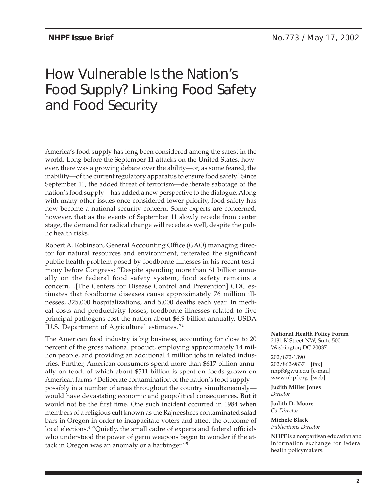# How Vulnerable Is the Nation's Food Supply? Linking Food Safety and Food Security

America's food supply has long been considered among the safest in the world. Long before the September 11 attacks on the United States, however, there was a growing debate over the ability—or, as some feared, the inability—of the current regulatory apparatus to ensure food safety. $^{\rm 1}$  Since September 11, the added threat of terrorism—deliberate sabotage of the nation's food supply—has added a new perspective to the dialogue. Along with many other issues once considered lower-priority, food safety has now become a national security concern. Some experts are concerned, however, that as the events of September 11 slowly recede from center stage, the demand for radical change will recede as well, despite the public health risks.

Robert A. Robinson, General Accounting Office (GAO) managing director for natural resources and environment, reiterated the significant public health problem posed by foodborne illnesses in his recent testimony before Congress: "Despite spending more than \$1 billion annually on the federal food safety system, food safety remains a concern....[The Centers for Disease Control and Prevention] CDC estimates that foodborne diseases cause approximately 76 million illnesses, 325,000 hospitalizations, and 5,000 deaths each year. In medical costs and productivity losses, foodborne illnesses related to five principal pathogens cost the nation about \$6.9 billion annually, USDA [U.S. Department of Agriculture] estimates."2

The American food industry is big business, accounting for close to 20 percent of the gross national product, employing approximately 14 million people, and providing an additional 4 million jobs in related industries. Further, American consumers spend more than \$617 billion annually on food, of which about \$511 billion is spent on foods grown on American farms.3 Deliberate contamination of the nation's food supply possibly in a number of areas throughout the country simultaneously would have devastating economic and geopolitical consequences. But it would not be the first time. One such incident occurred in 1984 when members of a religious cult known as the Rajneeshees contaminated salad bars in Oregon in order to incapacitate voters and affect the outcome of local elections.<sup>4</sup> "Quietly, the small cadre of experts and federal officials who understood the power of germ weapons began to wonder if the attack in Oregon was an anomaly or a harbinger."5

**National Health Policy Forum** 2131 K Street NW, Suite 500 Washington DC 20037 ,

202/872-1390 202/862-9837 [fax] nhpf@gwu.edu [e-mail] www.nhpf.org [web]

**Judith Miller Jones** *Director*

**Judith D. Moore** *Co-Director*

**Michele Black** *Publications Director*

**NHPF** is a nonpartisan education and information exchange for federal health policymakers.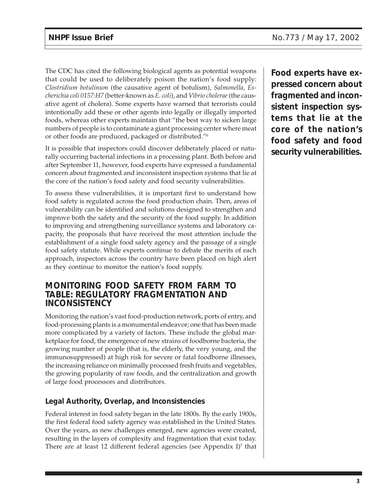The CDC has cited the following biological agents as potential weapons that could be used to deliberately poison the nation's food supply: *Clostridium botulinum* (the causative agent of botulism), *Salmonella, Escherichia coli 0157:H7* (better-known as *E. coli*), and *Vibrio cholerae* (the causative agent of cholera). Some experts have warned that terrorists could intentionally add these or other agents into legally or illegally imported foods, whereas other experts maintain that "the best way to sicken large numbers of people is to contaminate a giant processing center where meat or other foods are produced, packaged or distributed."6

It is possible that inspectors could discover deliberately placed or naturally occurring bacterial infections in a processing plant. Both before and after September 11, however, food experts have expressed a fundamental concern about fragmented and inconsistent inspection systems that lie at the core of the nation's food safety and food security vulnerabilities.

To assess these vulnerabilities, it is important first to understand how food safety is regulated across the food production chain. Then, areas of vulnerability can be identified and solutions designed to strengthen and improve both the safety and the security of the food supply. In addition to improving and strengthening surveillance systems and laboratory capacity, the proposals that have received the most attention include the establishment of a single food safety agency and the passage of a single food safety statute. While experts continue to debate the merits of each approach, inspectors across the country have been placed on high alert as they continue to monitor the nation's food supply.

#### **MONITORING FOOD SAFETY FROM FARM TO TABLE: REGULATORY FRAGMENTATION AND INCONSISTENCY**

Monitoring the nation's vast food-production network, ports of entry, and food-processing plants is a monumental endeavor; one that has been made more complicated by a variety of factors. These include the global marketplace for food, the emergence of new strains of foodborne bacteria, the growing number of people (that is, the elderly, the very young, and the immunosuppressed) at high risk for severe or fatal foodborne illnesses, the increasing reliance on minimally processed fresh fruits and vegetables, the growing popularity of raw foods, and the centralization and growth of large food processors and distributors.

# **Legal Authority, Overlap, and Inconsistencies**

Federal interest in food safety began in the late 1800s. By the early 1900s, the first federal food safety agency was established in the United States. Over the years, as new challenges emerged, new agencies were created, resulting in the layers of complexity and fragmentation that exist today. There are at least 12 different federal agencies (see Appendix I)7 that

**Food experts have expressed concern about fragmented and inconsistent inspection systems that lie at the core of the nation's food safety and food security vulnerabilities.**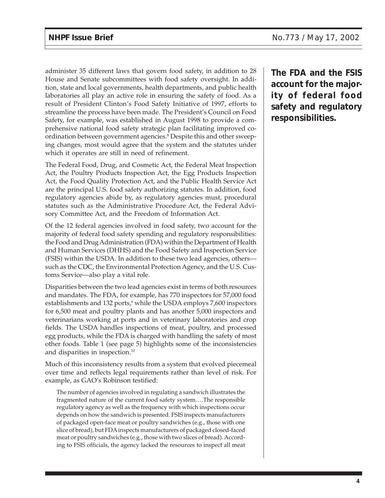administer 35 different laws that govern food safety, in addition to 28 House and Senate subcommittees with food safety oversight. In addition, state and local governments, health departments, and public health laboratories all play an active role in ensuring the safety of food. As a result of President Clinton's Food Safety Initiative of 1997, efforts to streamline the process have been made. The President's Council on Food Safety, for example, was established in August 1998 to provide a comprehensive national food safety strategic plan facilitating improved coordination between government agencies.<sup>8</sup> Despite this and other sweeping changes, most would agree that the system and the statutes under which it operates are still in need of refinement.

The Federal Food, Drug, and Cosmetic Act, the Federal Meat Inspection Act, the Poultry Products Inspection Act, the Egg Products Inspection Act, the Food Quality Protection Act, and the Public Health Service Act are the principal U.S. food safety authorizing statutes. In addition, food regulatory agencies abide by, as regulatory agencies must, procedural statutes such as the Administrative Procedure Act, the Federal Advisory Committee Act, and the Freedom of Information Act.

Of the 12 federal agencies involved in food safety, two account for the majority of federal food safety spending and regulatory responsibilities: the Food and Drug Administration (FDA) within the Department of Health and Human Services (DHHS) and the Food Safety and Inspection Service (FSIS) within the USDA. In addition to these two lead agencies, others such as the CDC, the Environmental Protection Agency, and the U.S. Customs Service—also play a vital role.

Disparities between the two lead agencies exist in terms of both resources and mandates. The FDA, for example, has 770 inspectors for 57,000 food establishments and 132 ports,<sup>9</sup> while the USDA employs 7,600 inspectors for 6,500 meat and poultry plants and has another 5,000 inspectors and veterinarians working at ports and in veterinary laboratories and crop fields. The USDA handles inspections of meat, poultry, and processed egg products, while the FDA is charged with handling the safety of most other foods. Table 1 (see page 5) highlights some of the inconsistencies and disparities in inspection.10

Much of this inconsistency results from a system that evolved piecemeal over time and reflects legal requirements rather than level of risk. For example, as GAO's Robinson testified:

The number of agencies involved in regulating a sandwich illustrates the fragmented nature of the current food safety system….The responsible regulatory agency as well as the frequency with which inspections occur depends on how the sandwich is presented. FSIS inspects manufacturers of packaged open-face meat or poultry sandwiches (e.g., those with one slice of bread), but FDA inspects manufacturers of packaged closed-faced meat or poultry sandwiches (e.g., those with two slices of bread). According to FSIS officials, the agency lacked the resources to inspect all meat **The FDA and the FSIS account for the majority of federal food safety and regulatory responsibilities.**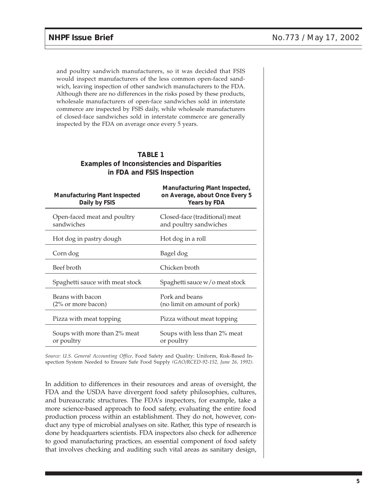and poultry sandwich manufacturers, so it was decided that FSIS would inspect manufacturers of the less common open-faced sandwich, leaving inspection of other sandwich manufacturers to the FDA. Although there are no differences in the risks posed by these products, wholesale manufacturers of open-face sandwiches sold in interstate commerce are inspected by FSIS daily, while wholesale manufacturers of closed-face sandwiches sold in interstate commerce are generally inspected by the FDA on average once every 5 years.

| <b>TABLE 1</b>                                     |
|----------------------------------------------------|
| <b>Examples of Inconsistencies and Disparities</b> |
| in FDA and FSIS Inspection                         |

| <b>Manufacturing Plant Inspected</b><br>Daily by FSIS | Manufacturing Plant Inspected,<br>on Average, about Once Every 5<br>Years by FDA |
|-------------------------------------------------------|----------------------------------------------------------------------------------|
| Open-faced meat and poultry<br>sandwiches             | Closed-face (traditional) meat<br>and poultry sandwiches                         |
| Hot dog in pastry dough                               | Hot dog in a roll                                                                |
| Corn dog                                              | Bagel dog                                                                        |
| Beef broth                                            | Chicken broth                                                                    |
| Spaghetti sauce with meat stock                       | Spaghetti sauce w/o meat stock                                                   |
| Beans with bacon<br>$(2\% \text{ or more bacon})$     | Pork and beans<br>(no limit on amount of pork)                                   |
| Pizza with meat topping                               | Pizza without meat topping                                                       |
| Soups with more than 2% meat<br>or poultry            | Soups with less than 2% meat<br>or poultry                                       |
|                                                       |                                                                                  |

*Source: U.S. General Accounting Office,* Food Safety and Quality: Uniform, Risk-Based Inspection System Needed to Ensure Safe Food Supply *(GAO/RCED-92-152, June 26, 1992).*

In addition to differences in their resources and areas of oversight, the FDA and the USDA have divergent food safety philosophies, cultures, and bureaucratic structures. The FDA's inspectors, for example, take a more science-based approach to food safety, evaluating the entire food production process within an establishment. They do not, however, conduct any type of microbial analyses on site. Rather, this type of research is done by headquarters scientists. FDA inspectors also check for adherence to good manufacturing practices, an essential component of food safety that involves checking and auditing such vital areas as sanitary design,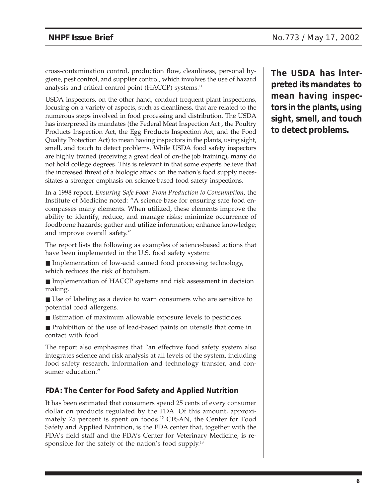cross-contamination control, production flow, cleanliness, personal hygiene, pest control, and supplier control, which involves the use of hazard analysis and critical control point (HACCP) systems.<sup>11</sup>

USDA inspectors, on the other hand, conduct frequent plant inspections, focusing on a variety of aspects, such as cleanliness, that are related to the numerous steps involved in food processing and distribution. The USDA has interpreted its mandates (the Federal Meat Inspection Act , the Poultry Products Inspection Act, the Egg Products Inspection Act, and the Food Quality Protection Act) to mean having inspectors in the plants, using sight, smell, and touch to detect problems. While USDA food safety inspectors are highly trained (receiving a great deal of on-the job training), many do not hold college degrees. This is relevant in that some experts believe that the increased threat of a biologic attack on the nation's food supply necessitates a stronger emphasis on science-based food safety inspections.

In a 1998 report, *Ensuring Safe Food: From Production to Consumption,* the Institute of Medicine noted: "A science base for ensuring safe food encompasses many elements. When utilized, these elements improve the ability to identify, reduce, and manage risks; minimize occurrence of foodborne hazards; gather and utilize information; enhance knowledge; and improve overall safety."

The report lists the following as examples of science-based actions that have been implemented in the U.S. food safety system:

- Implementation of low-acid canned food processing technology, which reduces the risk of botulism.
- Implementation of HACCP systems and risk assessment in decision making.
- Use of labeling as a device to warn consumers who are sensitive to potential food allergens.
- Estimation of maximum allowable exposure levels to pesticides.

■ Prohibition of the use of lead-based paints on utensils that come in contact with food.

The report also emphasizes that "an effective food safety system also integrates science and risk analysis at all levels of the system, including food safety research, information and technology transfer, and consumer education."

#### **FDA: The Center for Food Safety and Applied Nutrition**

It has been estimated that consumers spend 25 cents of every consumer dollar on products regulated by the FDA. Of this amount, approximately 75 percent is spent on foods.<sup>12</sup> CFSAN, the Center for Food Safety and Applied Nutrition, is the FDA center that, together with the FDA's field staff and the FDA's Center for Veterinary Medicine, is responsible for the safety of the nation's food supply.<sup>13</sup>

**The USDA has interpreted its mandates to mean having inspectors in the plants, using sight, smell, and touch to detect problems.**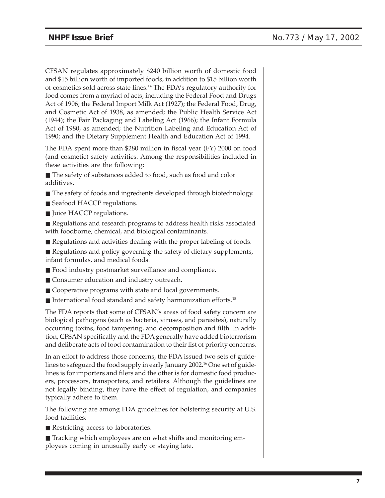CFSAN regulates approximately \$240 billion worth of domestic food and \$15 billion worth of imported foods, in addition to \$15 billion worth of cosmetics sold across state lines.14 The FDA's regulatory authority for food comes from a myriad of acts, including the Federal Food and Drugs Act of 1906; the Federal Import Milk Act (1927); the Federal Food, Drug, and Cosmetic Act of 1938, as amended; the Public Health Service Act (1944); the Fair Packaging and Labeling Act (1966); the Infant Formula Act of 1980, as amended; the Nutrition Labeling and Education Act of 1990; and the Dietary Supplement Health and Education Act of 1994.

The FDA spent more than \$280 million in fiscal year (FY) 2000 on food (and cosmetic) safety activities. Among the responsibilities included in these activities are the following:

■ The safety of substances added to food, such as food and color additives.

- The safety of foods and ingredients developed through biotechnology.
- Seafood HACCP regulations.
- Juice HACCP regulations.

■ Regulations and research programs to address health risks associated with foodborne, chemical, and biological contaminants.

- Regulations and activities dealing with the proper labeling of foods.
- Regulations and policy governing the safety of dietary supplements, infant formulas, and medical foods.
- Food industry postmarket surveillance and compliance.
- Consumer education and industry outreach.
- Cooperative programs with state and local governments.
- International food standard and safety harmonization efforts.<sup>15</sup>

The FDA reports that some of CFSAN's areas of food safety concern are biological pathogens (such as bacteria, viruses, and parasites), naturally occurring toxins, food tampering, and decomposition and filth. In addition, CFSAN specifically and the FDA generally have added bioterrorism and deliberate acts of food contamination to their list of priority concerns.

In an effort to address those concerns, the FDA issued two sets of guidelines to safeguard the food supply in early January 2002.<sup>16</sup> One set of guidelines is for importers and filers and the other is for domestic food producers, processors, transporters, and retailers. Although the guidelines are not legally binding, they have the effect of regulation, and companies typically adhere to them.

The following are among FDA guidelines for bolstering security at U.S. food facilities:

■ Restricting access to laboratories.

■ Tracking which employees are on what shifts and monitoring employees coming in unusually early or staying late.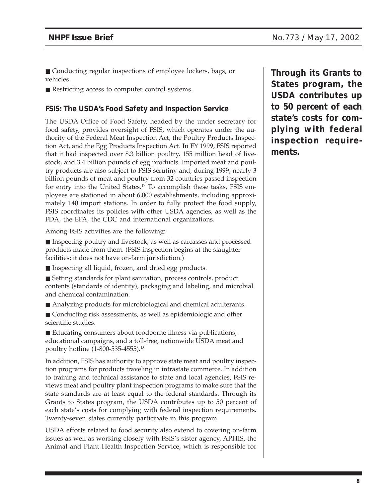- Conducting regular inspections of employee lockers, bags, or vehicles.
- Restricting access to computer control systems.

#### **FSIS: The USDA's Food Safety and Inspection Service**

The USDA Office of Food Safety, headed by the under secretary for food safety, provides oversight of FSIS, which operates under the authority of the Federal Meat Inspection Act, the Poultry Products Inspection Act, and the Egg Products Inspection Act. In FY 1999, FSIS reported that it had inspected over 8.3 billion poultry, 155 million head of livestock, and 3.4 billion pounds of egg products. Imported meat and poultry products are also subject to FSIS scrutiny and, during 1999, nearly 3 billion pounds of meat and poultry from 32 countries passed inspection for entry into the United States.17 To accomplish these tasks, FSIS employees are stationed in about 6,000 establishments, including approximately 140 import stations. In order to fully protect the food supply, FSIS coordinates its policies with other USDA agencies, as well as the FDA, the EPA, the CDC and international organizations.

Among FSIS activities are the following:

■ Inspecting poultry and livestock, as well as carcasses and processed products made from them. (FSIS inspection begins at the slaughter facilities; it does not have on-farm jurisdiction.)

- Inspecting all liquid, frozen, and dried egg products.
- Setting standards for plant sanitation, process controls, product contents (standards of identity), packaging and labeling, and microbial and chemical contamination.
- Analyzing products for microbiological and chemical adulterants.
- Conducting risk assessments, as well as epidemiologic and other scientific studies.

■ Educating consumers about foodborne illness via publications, educational campaigns, and a toll-free, nationwide USDA meat and poultry hotline (1-800-535-4555).18

In addition, FSIS has authority to approve state meat and poultry inspection programs for products traveling in intrastate commerce. In addition to training and technical assistance to state and local agencies, FSIS reviews meat and poultry plant inspection programs to make sure that the state standards are at least equal to the federal standards. Through its Grants to States program, the USDA contributes up to 50 percent of each state's costs for complying with federal inspection requirements. Twenty-seven states currently participate in this program.

USDA efforts related to food security also extend to covering on-farm issues as well as working closely with FSIS's sister agency, APHIS, the Animal and Plant Health Inspection Service, which is responsible for

**Through its Grants to States program, the USDA contributes up to 50 percent of each state's costs for complying with federal inspection requirements.**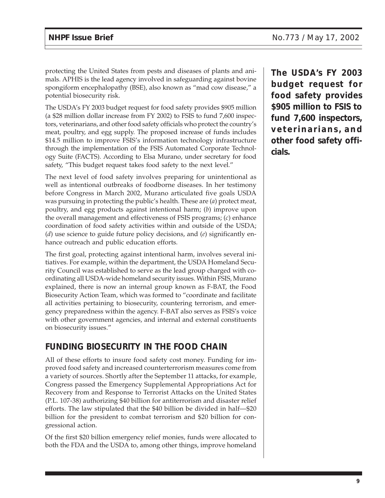protecting the United States from pests and diseases of plants and animals. APHIS is the lead agency involved in safeguarding against bovine spongiform encephalopathy (BSE), also known as "mad cow disease," a potential biosecurity risk.

The USDA's FY 2003 budget request for food safety provides \$905 million (a \$28 million dollar increase from FY 2002) to FSIS to fund 7,600 inspectors, veterinarians, and other food safety officials who protect the country's meat, poultry, and egg supply. The proposed increase of funds includes \$14.5 million to improve FSIS's information technology infrastructure through the implementation of the FSIS Automated Corporate Technology Suite (FACTS). According to Elsa Murano, under secretary for food safety, "This budget request takes food safety to the next level."

The next level of food safety involves preparing for unintentional as well as intentional outbreaks of foodborne diseases. In her testimony before Congress in March 2002, Murano articulated five goals USDA was pursuing in protecting the public's health. These are (*a*) protect meat, poultry, and egg products against intentional harm; (*b*) improve upon the overall management and effectiveness of FSIS programs; (*c*) enhance coordination of food safety activities within and outside of the USDA; (*d*) use science to guide future policy decisions, and (*e*) significantly enhance outreach and public education efforts.

The first goal, protecting against intentional harm, involves several initiatives. For example, within the department, the USDA Homeland Security Council was established to serve as the lead group charged with coordinating all USDA-wide homeland security issues. Within FSIS, Murano explained, there is now an internal group known as F-BAT, the Food Biosecurity Action Team, which was formed to "coordinate and facilitate all activities pertaining to biosecurity, countering terrorism, and emergency preparedness within the agency. F-BAT also serves as FSIS's voice with other government agencies, and internal and external constituents on biosecurity issues."

# **FUNDING BIOSECURITY IN THE FOOD CHAIN**

All of these efforts to insure food safety cost money. Funding for improved food safety and increased counterterrorism measures come from a variety of sources. Shortly after the September 11 attacks, for example, Congress passed the Emergency Supplemental Appropriations Act for Recovery from and Response to Terrorist Attacks on the United States (P.L. 107-38) authorizing \$40 billion for antiterrorism and disaster relief efforts. The law stipulated that the \$40 billion be divided in half—\$20 billion for the president to combat terrorism and \$20 billion for congressional action.

Of the first \$20 billion emergency relief monies, funds were allocated to both the FDA and the USDA to, among other things, improve homeland **The USDA's FY 2003 budget request for food safety provides \$905 million to FSIS to fund 7,600 inspectors, veterinarians, and other food safety officials.**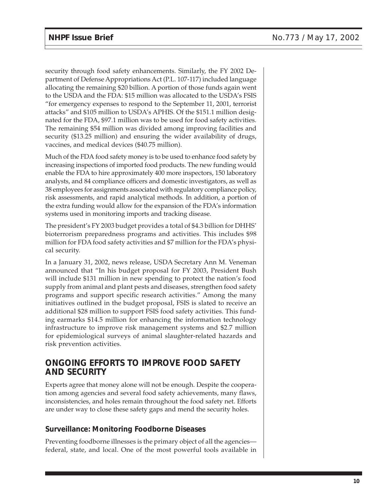security through food safety enhancements. Similarly, the FY 2002 Department of Defense Appropriations Act (P.L. 107-117) included language allocating the remaining \$20 billion. A portion of those funds again went to the USDA and the FDA: \$15 million was allocated to the USDA's FSIS "for emergency expenses to respond to the September 11, 2001, terrorist attacks" and \$105 million to USDA's APHIS. Of the \$151.1 million designated for the FDA, \$97.1 million was to be used for food safety activities. The remaining \$54 million was divided among improving facilities and security (\$13.25 million) and ensuring the wider availability of drugs, vaccines, and medical devices (\$40.75 million).

Much of the FDA food safety money is to be used to enhance food safety by increasing inspections of imported food products. The new funding would enable the FDA to hire approximately 400 more inspectors, 150 laboratory analysts, and 84 compliance officers and domestic investigators, as well as 38 employees for assignments associated with regulatory compliance policy, risk assessments, and rapid analytical methods. In addition, a portion of the extra funding would allow for the expansion of the FDA's information systems used in monitoring imports and tracking disease.

The president's FY 2003 budget provides a total of \$4.3 billion for DHHS' bioterrorism preparedness programs and activities. This includes \$98 million for FDA food safety activities and \$7 million for the FDA's physical security.

In a January 31, 2002, news release, USDA Secretary Ann M. Veneman announced that "In his budget proposal for FY 2003, President Bush will include \$131 million in new spending to protect the nation's food supply from animal and plant pests and diseases, strengthen food safety programs and support specific research activities." Among the many initiatives outlined in the budget proposal, FSIS is slated to receive an additional \$28 million to support FSIS food safety activities. This funding earmarks \$14.5 million for enhancing the information technology infrastructure to improve risk management systems and \$2.7 million for epidemiological surveys of animal slaughter-related hazards and risk prevention activities.

# **ONGOING EFFORTS TO IMPROVE FOOD SAFETY AND SECURITY**

Experts agree that money alone will not be enough. Despite the cooperation among agencies and several food safety achievements, many flaws, inconsistencies, and holes remain throughout the food safety net. Efforts are under way to close these safety gaps and mend the security holes.

#### **Surveillance: Monitoring Foodborne Diseases**

Preventing foodborne illnesses is the primary object of all the agencies federal, state, and local. One of the most powerful tools available in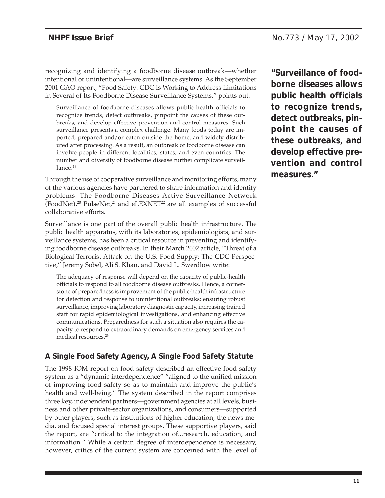recognizing and identifying a foodborne disease outbreak—whether intentional or unintentional—are surveillance systems. As the September 2001 GAO report, "Food Safety: CDC Is Working to Address Limitations in Several of Its Foodborne Disease Surveillance Systems," points out:

Surveillance of foodborne diseases allows public health officials to recognize trends, detect outbreaks, pinpoint the causes of these outbreaks, and develop effective prevention and control measures. Such surveillance presents a complex challenge. Many foods today are imported, prepared and/or eaten outside the home, and widely distributed after processing. As a result, an outbreak of foodborne disease can involve people in different localities, states, and even countries. The number and diversity of foodborne disease further complicate surveillance.<sup>19</sup>

Through the use of cooperative surveillance and monitoring efforts, many of the various agencies have partnered to share information and identify problems. The Foodborne Diseases Active Surveillance Network (FoodNet), $^{20}$  PulseNet, $^{21}$  and eLEXNET $^{22}$  are all examples of successful collaborative efforts.

Surveillance is one part of the overall public health infrastructure. The public health apparatus, with its laboratories, epidemiologists, and surveillance systems, has been a critical resource in preventing and identifying foodborne disease outbreaks. In their March 2002 article, "Threat of a Biological Terrorist Attack on the U.S. Food Supply: The CDC Perspective," Jeremy Sobel, Ali S. Khan, and David L. Swerdlow write:

The adequacy of response will depend on the capacity of public-health officials to respond to all foodborne disease outbreaks. Hence, a cornerstone of preparedness is improvement of the public-health infrastructure for detection and response to unintentional outbreaks: ensuring robust surveillance, improving laboratory diagnostic capacity, increasing trained staff for rapid epidemiological investigations, and enhancing effective communications. Preparedness for such a situation also requires the capacity to respond to extraordinary demands on emergency services and medical resources.23

# **A Single Food Safety Agency, A Single Food Safety Statute**

The 1998 IOM report on food safety described an effective food safety system as a "dynamic interdependence" "aligned to the unified mission of improving food safety so as to maintain and improve the public's health and well-being." The system described in the report comprises three key, independent partners—government agencies at all levels, business and other private-sector organizations, and consumers—supported by other players, such as institutions of higher education, the news media, and focused special interest groups. These supportive players, said the report, are "critical to the integration of...research, education, and information." While a certain degree of interdependence is necessary, however, critics of the current system are concerned with the level of

**"Surveillance of foodborne diseases allows public health officials to recognize trends, detect outbreaks, pinpoint the causes of these outbreaks, and develop effective prevention and control measures."**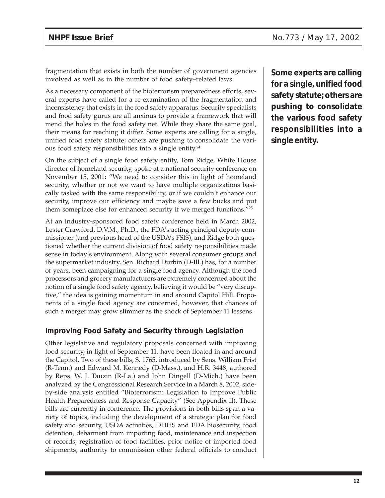fragmentation that exists in both the number of government agencies involved as well as in the number of food safety–related laws.

As a necessary component of the bioterrorism preparedness efforts, several experts have called for a re-examination of the fragmentation and inconsistency that exists in the food safety apparatus. Security specialists and food safety gurus are all anxious to provide a framework that will mend the holes in the food safety net. While they share the same goal, their means for reaching it differ. Some experts are calling for a single, unified food safety statute; others are pushing to consolidate the various food safety responsibilities into a single entity.24

On the subject of a single food safety entity, Tom Ridge, White House director of homeland security, spoke at a national security conference on November 15, 2001: "We need to consider this in light of homeland security, whether or not we want to have multiple organizations basically tasked with the same responsibility, or if we couldn't enhance our security, improve our efficiency and maybe save a few bucks and put them someplace else for enhanced security if we merged functions."25

At an industry-sponsored food safety conference held in March 2002, Lester Crawford, D.V.M., Ph.D., the FDA's acting principal deputy commissioner (and previous head of the USDA's FSIS), and Ridge both questioned whether the current division of food safety responsibilities made sense in today's environment. Along with several consumer groups and the supermarket industry, Sen. Richard Durbin (D-Ill.) has, for a number of years, been campaigning for a single food agency. Although the food processors and grocery manufacturers are extremely concerned about the notion of a single food safety agency, believing it would be "very disruptive," the idea is gaining momentum in and around Capitol Hill. Proponents of a single food agency are concerned, however, that chances of such a merger may grow slimmer as the shock of September 11 lessens.

#### **Improving Food Safety and Security through Legislation**

Other legislative and regulatory proposals concerned with improving food security, in light of September 11, have been floated in and around the Capitol. Two of these bills, S. 1765, introduced by Sens. William Frist (R-Tenn.) and Edward M. Kennedy (D-Mass.), and H.R. 3448, authored by Reps. W. J. Tauzin (R-La.) and John Dingell (D-Mich.) have been analyzed by the Congressional Research Service in a March 8, 2002, sideby-side analysis entitled "Bioterrorism: Legislation to Improve Public Health Preparedness and Response Capacity" (See Appendix II). These bills are currently in conference. The provisions in both bills span a variety of topics, including the development of a strategic plan for food safety and security, USDA activities, DHHS and FDA biosecurity, food detention, debarment from importing food, maintenance and inspection of records, registration of food facilities, prior notice of imported food shipments, authority to commission other federal officials to conduct

**Some experts are calling for a single, unified food safety statute; others are pushing to consolidate the various food safety responsibilities into a single entity.**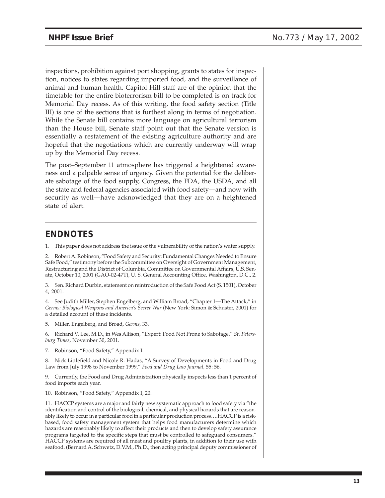inspections, prohibition against port shopping, grants to states for inspection, notices to states regarding imported food, and the surveillance of animal and human health. Capitol Hill staff are of the opinion that the timetable for the entire bioterrorism bill to be completed is on track for Memorial Day recess. As of this writing, the food safety section (Title III) is one of the sections that is furthest along in terms of negotiation. While the Senate bill contains more language on agricultural terrorism than the House bill, Senate staff point out that the Senate version is essentially a restatement of the existing agriculture authority and are hopeful that the negotiations which are currently underway will wrap up by the Memorial Day recess.

The post–September 11 atmosphere has triggered a heightened awareness and a palpable sense of urgency. Given the potential for the deliberate sabotage of the food supply, Congress, the FDA, the USDA, and all the state and federal agencies associated with food safety—and now with security as well—have acknowledged that they are on a heightened state of alert.

# **ENDNOTES**

1. This paper does not address the issue of the vulnerability of the nation's water supply.

2. Robert A. Robinson, "Food Safety and Security: Fundamental Changes Needed to Ensure Safe Food," testimony before the Subcommittee on Oversight of Government Management, Restructuring and the District of Columbia, Committee on Governmental Affairs, U.S. Senate, October 10, 2001 (GAO-02-47T), U. S. General Accounting Office, Washington, D.C., 2.

3. Sen. Richard Durbin, statement on reintroduction of the Safe Food Act (S. 1501), October 4, 2001.

4. See Judith Miller, Stephen Engelberg, and William Broad, "Chapter 1—The Attack," in *Germs: Biological Weapons and America's Secret War* (New York: Simon & Schuster, 2001) for a detailed account of these incidents.

5. Miller, Engelberg, and Broad, *Germs,* 33.

6. Richard V. Lee, M.D., in Wes Allison, "Expert: Food Not Prone to Sabotage," *St. Petersburg Times,* November 30, 2001.

7. Robinson, "Food Safety," Appendix I.

8. Nick Littlefield and Nicole R. Hadas, "A Survey of Developments in Food and Drug Law from July 1998 to November 1999," *Food and Drug Law Journal,* 55: 56.

9. Currently, the Food and Drug Administration physically inspects less than 1 percent of food imports each year.

10. Robinson, "Food Safety," Appendix I, 20.

11. HACCP systems are a major and fairly new systematic approach to food safety via "the identification and control of the biological, chemical, and physical hazards that are reasonably likely to occur in a particular food in a particular production process….HACCP is a riskbased, food safety management system that helps food manufacturers determine which hazards are reasonably likely to affect their products and then to develop safety assurance programs targeted to the specific steps that must be controlled to safeguard consumers." HACCP systems are required of all meat and poultry plants, in addition to their use with seafood. (Bernard A. Schwetz, D.V.M., Ph.D., then acting principal deputy commissioner of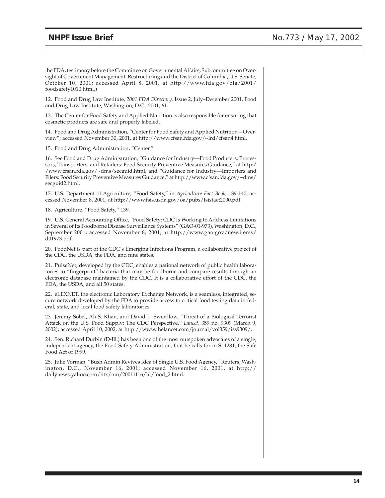the FDA, testimony before the Committee on Governmental Affairs, Subcommittee on Oversight of Government Management, Restructuring and the District of Columbia, U.S. Senate, October 10, 2001; accessed April 8, 2001, at http://www.fda.gov/ola/2001/ foodsafety1010.html.)

12. Food and Drug Law Institute, *2001 FDA Directory,* Issue 2, July–December 2001, Food and Drug Law Institute, Washington, D.C., 2001, 61.

13. The Center for Food Safety and Applied Nutrition is also responsible for ensuring that cosmetic products are safe and properly labeled.

14. Food and Drug Administration, "Center for Food Safety and Applied Nutrition—Overview"; accessed November 30, 2001, at http://www.cfsan.fda.gov/~lrd/cfsan4.html.

15. Food and Drug Administration, "Center."

16. See Food and Drug Administration, "Guidance for Industry—Food Producers, Processors, Transporters, and Retailers: Food Security Preventive Measures Guidance," at http:/ /www.cfsan.fda.gov/~dms/secguid.html, and "Guidance for Industry—Importers and Filers: Food Security Preventive Measures Guidance," at http://www.cfsan.fda.gov/~dms/ secguid2.html.

17. U.S. Department of Agriculture, "Food Safety," in *Agriculture Fact Book,* 139-140; accessed November 8, 2001, at http://www.fsis.usda.gov/oa/pubs/fsisfact2000.pdf.

18. Agriculture, "Food Safety," 139.

19. U.S. General Accounting Office, "Food Safety: CDC Is Working to Address Limitations in Several of Its Foodborne Disease Surveillance Systems" (GAO-01-973), Washington, D.C., September 2001; accessed November 8, 2001, at http://www.gao.gov/new.items/ d01973.pdf.

20. FoodNet is part of the CDC's Emerging Infections Program, a collaborative project of the CDC, the USDA, the FDA, and nine states.

21. PulseNet, developed by the CDC, enables a national network of public health laboratories to "fingerprint" bacteria that may be foodborne and compare results through an electronic database maintained by the CDC. It is a collaborative effort of the CDC, the FDA, the USDA, and all 50 states.

22. eLEXNET, the electronic Laboratory Exchange Network, is a seamless, integrated, secure network developed by the FDA to provide access to critical food testing data in federal, state, and local food safety laboratories.

23. Jeremy Sobel, Ali S. Khan, and David L. Swerdlow, "Threat of a Biological Terrorist Attack on the U.S. Food Supply: The CDC Perspective," *Lancet,* 359 no. 9309 (March 9, 2002); accessed April 10, 2002, at http://www.thelancet.com/journal/vol359/iss9309/.

24. Sen. Richard Durbin (D-Ill.) has been one of the most outspoken advocates of a single, independent agency, the Food Safety Administration, that he calls for in S. 1281, the Safe Food Act of 1999.

25. Julie Vorman, "Bush Admin Revives Idea of Single U.S. Food Agency," Reuters, Washington, D.C., November 16, 2001; accessed November 16, 2001, at http:// dailynews.yahoo.com/htx/nm/20011116/hl/food\_2.html.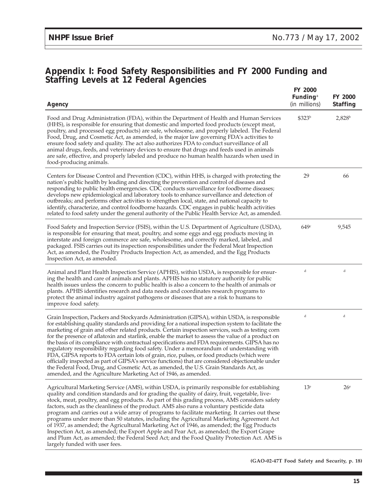# **Appendix I: Food Safety Responsibilities and FY 2000 Funding and Staffing Levels at 12 Federal Agencies**

| Agency                                                                                                                                                                                                                                                                                                                                                                                                                                                                                                                                                                                                                                                                                                                                                                                                                                                                                                                                                                        | FY 2000<br>Funding <sup>a</sup><br>(in millions) | FY 2000<br><b>Staffing</b> |
|-------------------------------------------------------------------------------------------------------------------------------------------------------------------------------------------------------------------------------------------------------------------------------------------------------------------------------------------------------------------------------------------------------------------------------------------------------------------------------------------------------------------------------------------------------------------------------------------------------------------------------------------------------------------------------------------------------------------------------------------------------------------------------------------------------------------------------------------------------------------------------------------------------------------------------------------------------------------------------|--------------------------------------------------|----------------------------|
| Food and Drug Administration (FDA), within the Department of Health and Human Services<br>(HHS), is responsible for ensuring that domestic and imported food products (except meat,<br>poultry, and processed egg products) are safe, wholesome, and properly labeled. The Federal<br>Food, Drug, and Cosmetic Act, as amended, is the major law governing FDA's activities to<br>ensure food safety and quality. The act also authorizes FDA to conduct surveillance of all<br>animal drugs, feeds, and veterinary devices to ensure that drugs and feeds used in animals<br>are safe, effective, and properly labeled and produce no human health hazards when used in<br>food-producing animals.                                                                                                                                                                                                                                                                           | \$323 <sup>b</sup>                               | $2,828^b$                  |
| Centers for Disease Control and Prevention (CDC), within HHS, is charged with protecting the<br>nation's public health by leading and directing the prevention and control of diseases and<br>responding to public health emergencies. CDC conducts surveillance for foodborne diseases;<br>develops new epidemiological and laboratory tools to enhance surveillance and detection of<br>outbreaks; and performs other activities to strengthen local, state, and national capacity to<br>identify, characterize, and control foodborne hazards. CDC engages in public health activities<br>related to food safety under the general authority of the Public Health Service Act, as amended.                                                                                                                                                                                                                                                                                 | 29                                               | 66                         |
| Food Safety and Inspection Service (FSIS), within the U.S. Department of Agriculture (USDA),<br>is responsible for ensuring that meat, poultry, and some eggs and egg products moving in<br>interstate and foreign commerce are safe, wholesome, and correctly marked, labeled, and<br>packaged. FSIS carries out its inspection responsibilities under the Federal Meat Inspection<br>Act, as amended, the Poultry Products Inspection Act, as amended, and the Egg Products<br>Inspection Act, as amended.                                                                                                                                                                                                                                                                                                                                                                                                                                                                  | 649c                                             | 9,545                      |
| Animal and Plant Health Inspection Service (APHIS), within USDA, is responsible for ensur-<br>ing the health and care of animals and plants. APHIS has no statutory authority for public<br>health issues unless the concern to public health is also a concern to the health of animals or<br>plants. APHIS identifies research and data needs and coordinates research programs to<br>protect the animal industry against pathogens or diseases that are a risk to humans to<br>improve food safety.                                                                                                                                                                                                                                                                                                                                                                                                                                                                        | d                                                | d                          |
| Grain Inspection, Packers and Stockyards Administration (GIPSA), within USDA, is responsible<br>for establishing quality standards and providing for a national inspection system to facilitate the<br>marketing of grain and other related products. Certain inspection services, such as testing corn<br>for the presence of aflatoxin and starlink, enable the market to assess the value of a product on<br>the basis of its compliance with contractual specifications and FDA requirements. GIPSA has no<br>regulatory responsibility regarding food safety. Under a memorandum of understanding with<br>FDA, GIPSA reports to FDA certain lots of grain, rice, pulses, or food products (which were<br>officially inspected as part of GIPSA's service functions) that are considered objectionable under<br>the Federal Food, Drug, and Cosmetic Act, as amended, the U.S. Grain Standards Act, as<br>amended, and the Agriculture Marketing Act of 1946, as amended. | d                                                | d                          |
| Agricultural Marketing Service (AMS), within USDA, is primarily responsible for establishing<br>quality and condition standards and for grading the quality of dairy, fruit, vegetable, live-<br>stock, meat, poultry, and egg products. As part of this grading process, AMS considers safety<br>factors, such as the cleanliness of the product. AMS also runs a voluntary pesticide data<br>program and carries out a wide array of programs to facilitate marketing. It carries out these<br>programs under more than 50 statutes, including the Agricultural Marketing Agreement Act<br>of 1937, as amended; the Agricultural Marketing Act of 1946, as amended; the Egg Products<br>Inspection Act, as amended; the Export Apple and Pear Act, as amended; the Export Grape<br>and Plum Act, as amended; the Federal Seed Act; and the Food Quality Protection Act. AMS is<br>largely funded with user fees.                                                            | 13 <sup>e</sup>                                  | 26 <sup>e</sup>            |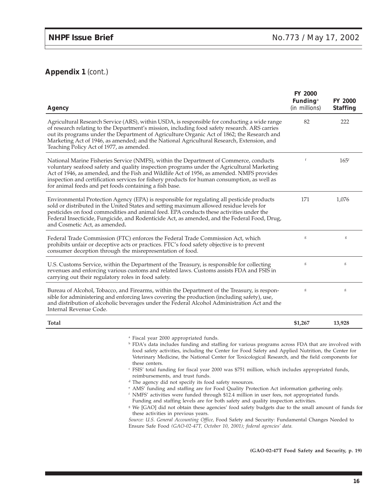#### **Appendix 1** (cont.)

| Agency                                                                                                                                                                                                                                                                                                                                                                                                                                    | <b>FY 2000</b><br>Funding <sup>a</sup><br>(in millions) | FY 2000<br><b>Staffing</b> |
|-------------------------------------------------------------------------------------------------------------------------------------------------------------------------------------------------------------------------------------------------------------------------------------------------------------------------------------------------------------------------------------------------------------------------------------------|---------------------------------------------------------|----------------------------|
| Agricultural Research Service (ARS), within USDA, is responsible for conducting a wide range<br>of research relating to the Department's mission, including food safety research. ARS carries<br>out its programs under the Department of Agriculture Organic Act of 1862; the Research and<br>Marketing Act of 1946, as amended; and the National Agricultural Research, Extension, and<br>Teaching Policy Act of 1977, as amended.      | 82                                                      | 222                        |
| National Marine Fisheries Service (NMFS), within the Department of Commerce, conducts<br>voluntary seafood safety and quality inspection programs under the Agricultural Marketing<br>Act of 1946, as amended, and the Fish and Wildlife Act of 1956, as amended. NMFS provides<br>inspection and certification services for fishery products for human consumption, as well as<br>for animal feeds and pet foods containing a fish base. | $\mathsf{f}$                                            | $165^{\rm f}$              |
| Environmental Protection Agency (EPA) is responsible for regulating all pesticide products<br>sold or distributed in the United States and setting maximum allowed residue levels for<br>pesticides on food commodities and animal feed. EPA conducts these activities under the<br>Federal Insecticide, Fungicide, and Rodenticide Act, as amended, and the Federal Food, Drug,<br>and Cosmetic Act, as amended.                         | 171                                                     | 1,076                      |
| Federal Trade Commission (FTC) enforces the Federal Trade Commission Act, which<br>prohibits unfair or deceptive acts or practices. FTC's food safety objective is to prevent<br>consumer deception through the misrepresentation of food.                                                                                                                                                                                                | g                                                       | g                          |
| U.S. Customs Service, within the Department of the Treasury, is responsible for collecting<br>revenues and enforcing various customs and related laws. Customs assists FDA and FSIS in<br>carrying out their regulatory roles in food safety.                                                                                                                                                                                             | $\mathbf g$                                             | $\mathbf g$                |
| Bureau of Alcohol, Tobacco, and Firearms, within the Department of the Treasury, is respon-<br>sible for administering and enforcing laws covering the production (including safety), use,<br>and distribution of alcoholic beverages under the Federal Alcohol Administration Act and the<br>Internal Revenue Code.                                                                                                                      | $\mathbf g$                                             | g                          |
| <b>Total</b>                                                                                                                                                                                                                                                                                                                                                                                                                              | \$1,267                                                 | 13,928                     |
|                                                                                                                                                                                                                                                                                                                                                                                                                                           |                                                         |                            |

<sup>a</sup> Fiscal year 2000 appropriated funds.

**b** FDA's data includes funding and staffing for various programs across FDA that are involved with food safety activities, including the Center for Food Safety and Applied Nutrition, the Center for Veterinary Medicine, the National Center for Toxicological Research, and the field components for these centers.

- <sup>c</sup> FSIS' total funding for fiscal year 2000 was \$751 million, which includes appropriated funds, reimbursements, and trust funds.
- <sup>d</sup> The agency did not specify its food safety resources.

<sup>e</sup> AMS' funding and staffing are for Food Quality Protection Act information gathering only.

<sup>f</sup> NMFS' activities were funded through \$12.4 million in user fees, not appropriated funds. Funding and staffing levels are for both safety and quality inspection activities.

<sup>8</sup> We [GAO] did not obtain these agencies' food safety budgets due to the small amount of funds for these activities in previous years.

*Source: U.S. General Accounting Office,* Food Safety and Security: Fundamental Changes Needed to Ensure Safe Food *(GAO-02-47T, October 10, 2001); federal agencies' data.*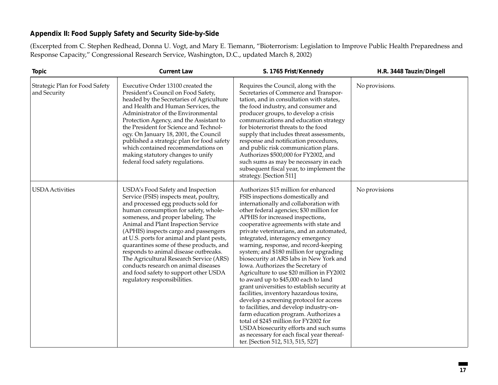#### **Appendix II: Food Supply Safety and Security Side-by-Side**

(Excerpted from C. Stephen Redhead, Donna U. Vogt, and Mary E. Tiemann, "Bioterrorism: Legislation to Improve Public Health Preparedness and Response Capacity," Congressional Research Service, Washington, D.C., updated March 8, 2002)

| <b>Topic</b>                                   | <b>Current Law</b>                                                                                                                                                                                                                                                                                                                                                                                                                                                                                                                                                            | S. 1765 Frist/Kennedy                                                                                                                                                                                                                                                                                                                                                                                                                                                                                                                                                                                                                                                                                                                                                                                                                                                                                                                                                                | H.R. 3448 Tauzin/Dingell |
|------------------------------------------------|-------------------------------------------------------------------------------------------------------------------------------------------------------------------------------------------------------------------------------------------------------------------------------------------------------------------------------------------------------------------------------------------------------------------------------------------------------------------------------------------------------------------------------------------------------------------------------|--------------------------------------------------------------------------------------------------------------------------------------------------------------------------------------------------------------------------------------------------------------------------------------------------------------------------------------------------------------------------------------------------------------------------------------------------------------------------------------------------------------------------------------------------------------------------------------------------------------------------------------------------------------------------------------------------------------------------------------------------------------------------------------------------------------------------------------------------------------------------------------------------------------------------------------------------------------------------------------|--------------------------|
| Strategic Plan for Food Safety<br>and Security | Executive Order 13100 created the<br>President's Council on Food Safety,<br>headed by the Secretaries of Agriculture<br>and Health and Human Services, the<br>Administrator of the Environmental<br>Protection Agency, and the Assistant to<br>the President for Science and Technol-<br>ogy. On January 18, 2001, the Council<br>published a strategic plan for food safety<br>which contained recommendations on<br>making statutory changes to unify<br>federal food safety regulations.                                                                                   | Requires the Council, along with the<br>Secretaries of Commerce and Transpor-<br>tation, and in consultation with states,<br>the food industry, and consumer and<br>producer groups, to develop a crisis<br>communications and education strategy<br>for bioterrorist threats to the food<br>supply that includes threat assessments,<br>response and notification procedures,<br>and public risk communication plans.<br>Authorizes \$500,000 for FY2002, and<br>such sums as may be necessary in each<br>subsequent fiscal year, to implement the<br>strategy. [Section 511]                                                                                                                                                                                                                                                                                                                                                                                                       | No provisions.           |
| <b>USDA</b> Activities                         | USDA's Food Safety and Inspection<br>Service (FSIS) inspects meat, poultry,<br>and processed egg products sold for<br>human consumption for safety, whole-<br>someness, and proper labeling. The<br>Animal and Plant Inspection Service<br>(APHIS) inspects cargo and passengers<br>at U.S. ports for animal and plant pests,<br>quarantines some of these products, and<br>responds to animal disease outbreaks.<br>The Agricultural Research Service (ARS)<br>conducts research on animal diseases<br>and food safety to support other USDA<br>regulatory responsibilities. | Authorizes \$15 million for enhanced<br>FSIS inspections domestically and<br>internationally and collaboration with<br>other federal agencies; \$30 million for<br>APHIS for increased inspections,<br>cooperative agreements with state and<br>private veterinarians, and an automated,<br>integrated, interagency emergency<br>warning, response, and record-keeping<br>system; and \$180 million for upgrading<br>biosecurity at ARS labs in New York and<br>Iowa. Authorizes the Secretary of<br>Agriculture to use \$20 million in FY2002<br>to award up to \$45,000 each to land<br>grant universities to establish security at<br>facilities, inventory hazardous toxins,<br>develop a screening protocol for access<br>to facilities, and develop industry-on-<br>farm education program. Authorizes a<br>total of \$245 million for FY2002 for<br>USDA biosecurity efforts and such sums<br>as necessary for each fiscal year thereaf-<br>ter. [Section 512, 513, 515, 527] | No provisions            |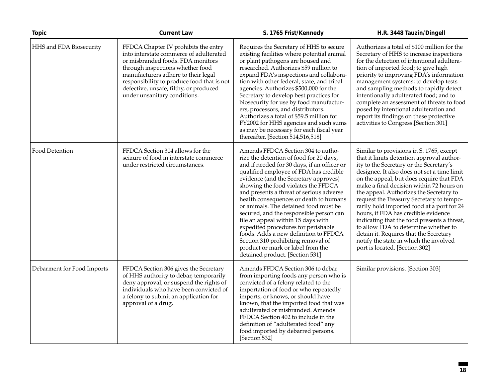| <b>Topic</b>               | <b>Current Law</b>                                                                                                                                                                                                                                                                                                      | S. 1765 Frist/Kennedy                                                                                                                                                                                                                                                                                                                                                                                                                                                                                                                                                                                                                                                | H.R. 3448 Tauzin/Dingell                                                                                                                                                                                                                                                                                                                                                                                                                                                                                                                                                                                                                                         |
|----------------------------|-------------------------------------------------------------------------------------------------------------------------------------------------------------------------------------------------------------------------------------------------------------------------------------------------------------------------|----------------------------------------------------------------------------------------------------------------------------------------------------------------------------------------------------------------------------------------------------------------------------------------------------------------------------------------------------------------------------------------------------------------------------------------------------------------------------------------------------------------------------------------------------------------------------------------------------------------------------------------------------------------------|------------------------------------------------------------------------------------------------------------------------------------------------------------------------------------------------------------------------------------------------------------------------------------------------------------------------------------------------------------------------------------------------------------------------------------------------------------------------------------------------------------------------------------------------------------------------------------------------------------------------------------------------------------------|
| HHS and FDA Biosecurity    | FFDCA Chapter IV prohibits the entry<br>into interstate commerce of adulterated<br>or misbranded foods. FDA monitors<br>through inspections whether food<br>manufacturers adhere to their legal<br>responsibility to produce food that is not<br>defective, unsafe, filthy, or produced<br>under unsanitary conditions. | Requires the Secretary of HHS to secure<br>existing facilities where potential animal<br>or plant pathogens are housed and<br>researched. Authorizes \$59 million to<br>expand FDA's inspections and collabora-<br>tion with other federal, state, and tribal<br>agencies. Authorizes \$500,000 for the<br>Secretary to develop best practices for<br>biosecurity for use by food manufactur-<br>ers, processors, and distributors.<br>Authorizes a total of \$59.5 million for<br>FY2002 for HHS agencies and such sums<br>as may be necessary for each fiscal year<br>thereafter. [Section 514,516,518]                                                            | Authorizes a total of \$100 million for the<br>Secretary of HHS to increase inspections<br>for the detection of intentional adultera-<br>tion of imported food; to give high<br>priority to improving FDA's information<br>management systems; to develop tests<br>and sampling methods to rapidly detect<br>intentionally adulterated food; and to<br>complete an assessment of threats to food<br>posed by intentional adulteration and<br>report its findings on these protective<br>activities to Congress.[Section 301]                                                                                                                                     |
| Food Detention             | FFDCA Section 304 allows for the<br>seizure of food in interstate commerce<br>under restricted circumstances.                                                                                                                                                                                                           | Amends FFDCA Section 304 to autho-<br>rize the detention of food for 20 days,<br>and if needed for 30 days, if an officer or<br>qualified employee of FDA has credible<br>evidence (and the Secretary approves)<br>showing the food violates the FFDCA<br>and presents a threat of serious adverse<br>health consequences or death to humans<br>or animals. The detained food must be<br>secured, and the responsible person can<br>file an appeal within 15 days with<br>expedited procedures for perishable<br>foods. Adds a new definition to FFDCA<br>Section 310 prohibiting removal of<br>product or mark or label from the<br>detained product. [Section 531] | Similar to provisions in S. 1765, except<br>that it limits detention approval author-<br>ity to the Secretary or the Secretary's<br>designee. It also does not set a time limit<br>on the appeal, but does require that FDA<br>make a final decision within 72 hours on<br>the appeal. Authorizes the Secretary to<br>request the Treasury Secretary to tempo-<br>rarily hold imported food at a port for 24<br>hours, if FDA has credible evidence<br>indicating that the food presents a threat,<br>to allow FDA to determine whether to<br>detain it. Requires that the Secretary<br>notify the state in which the involved<br>port is located. [Section 302] |
| Debarment for Food Imports | FFDCA Section 306 gives the Secretary<br>of HHS authority to debar, temporarily<br>deny approval, or suspend the rights of<br>individuals who have been convicted of<br>a felony to submit an application for<br>approval of a drug.                                                                                    | Amends FFDCA Section 306 to debar<br>from importing foods any person who is<br>convicted of a felony related to the<br>importation of food or who repeatedly<br>imports, or knows, or should have<br>known, that the imported food that was<br>adulterated or misbranded. Amends<br>FFDCA Section 402 to include in the<br>definition of "adulterated food" any<br>food imported by debarred persons.<br>[Section 532]                                                                                                                                                                                                                                               | Similar provisions. [Section 303]                                                                                                                                                                                                                                                                                                                                                                                                                                                                                                                                                                                                                                |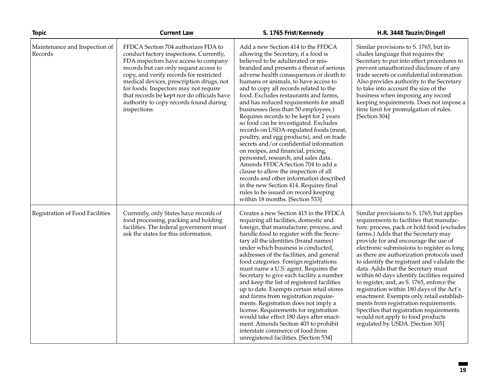| <b>Topic</b>                             | <b>Current Law</b>                                                                                                                                                                                                                                                                                                                                                                                        | S. 1765 Frist/Kennedy                                                                                                                                                                                                                                                                                                                                                                                                                                                                                                                                                                                                                                                                                                                                                                                                                                                                                                                                                  | H.R. 3448 Tauzin/Dingell                                                                                                                                                                                                                                                                                                                                                                                                                                                                                                                                                                                                                                                                                                                               |
|------------------------------------------|-----------------------------------------------------------------------------------------------------------------------------------------------------------------------------------------------------------------------------------------------------------------------------------------------------------------------------------------------------------------------------------------------------------|------------------------------------------------------------------------------------------------------------------------------------------------------------------------------------------------------------------------------------------------------------------------------------------------------------------------------------------------------------------------------------------------------------------------------------------------------------------------------------------------------------------------------------------------------------------------------------------------------------------------------------------------------------------------------------------------------------------------------------------------------------------------------------------------------------------------------------------------------------------------------------------------------------------------------------------------------------------------|--------------------------------------------------------------------------------------------------------------------------------------------------------------------------------------------------------------------------------------------------------------------------------------------------------------------------------------------------------------------------------------------------------------------------------------------------------------------------------------------------------------------------------------------------------------------------------------------------------------------------------------------------------------------------------------------------------------------------------------------------------|
| Maintenance and Inspection of<br>Records | FFDCA Section 704 authorizes FDA to<br>conduct factory inspections. Currently,<br>FDA inspectors have access to company<br>records but can only request access to<br>copy, and verify records for restricted<br>medical devices, prescription drugs, not<br>for foods. Inspectors may not require<br>that records be kept nor do officials have<br>authority to copy records found during<br>inspections. | Add a new Section 414 to the FFDCA<br>allowing the Secretary, if a food is<br>believed to be adulterated or mis-<br>branded and presents a threat of serious<br>adverse health consequences or death to<br>humans or animals, to have access to<br>and to copy all records related to the<br>food. Excludes restaurants and farms,<br>and has reduced requirements for small<br>businesses (less than 50 employees.)<br>Requires records to be kept for 2 years<br>so food can be investigated. Excludes<br>records on USDA-regulated foods (meat,<br>poultry, and egg products), and on trade<br>secrets and/or confidential information<br>on recipes, and financial, pricing,<br>personnel, research, and sales data.<br>Amends FFDCA Section 704 to add a<br>clause to allow the inspection of all<br>records and other information described<br>in the new Section 414. Requires final<br>rules to be issued on record keeping<br>within 18 months. [Section 533] | Similar provisions to S. 1765, but in-<br>cludes language that requires the<br>Secretary to put into effect procedures to<br>prevent unauthorized disclosure of any<br>trade secrets or confidential information.<br>Also provides authority to the Secretary<br>to take into account the size of the<br>business when imposing any record<br>keeping requirements. Does not impose a<br>time limit for promulgation of rules.<br>[Section 304]                                                                                                                                                                                                                                                                                                        |
| Registration of Food Facilities          | Currently, only States have records of<br>food processing, packing and holding<br>facilities. The federal government must<br>ask the states for this information.                                                                                                                                                                                                                                         | Creates a new Section 415 in the FFDCA<br>requiring all facilities, domestic and<br>foreign, that manufacture, process, and<br>handle food to register with the Secre-<br>tary all the identities (brand names)<br>under which business is conducted,<br>addresses of the facilities, and general<br>food categories. Foreign registrations<br>must name a U.S. agent. Requires the<br>Secretary to give each facility a number<br>and keep the list of registered facilities<br>up to date. Exempts certain retail stores<br>and farms from registration require-<br>ments. Registration does not imply a<br>license. Requirements for registration<br>would take effect 180 days after enact-<br>ment. Amends Section 403 to prohibit<br>interstate commerce of food from<br>unregistered facilities. [Section 534]                                                                                                                                                  | Similar provisions to S. 1765, but applies<br>requirements to facilities that manufac-<br>ture, process, pack or hold food (excludes<br>farms.) Adds that the Secretary may<br>provide for and encourage the use of<br>electronic submissions to register as long<br>as there are authorization protocols used<br>to identify the registrant and validate the<br>data. Adds that the Secretary must<br>within 60 days identify facilities required<br>to register, and, as S. 1765, enforce the<br>registration within 180 days of the Act's<br>enactment. Exempts only retail establish-<br>ments from registration requirements.<br>Specifies that registration requirements<br>would not apply to food products<br>regulated by USDA. [Section 305] |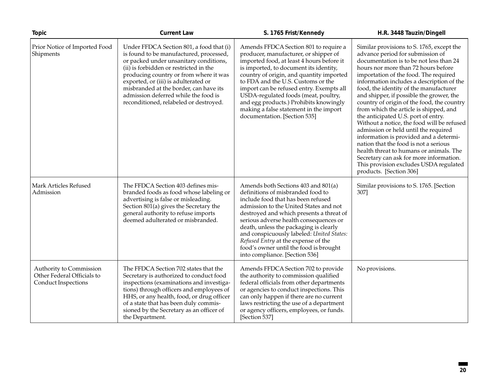| <b>Topic</b>                                                                        | <b>Current Law</b>                                                                                                                                                                                                                                                                                                                                                                    | S. 1765 Frist/Kennedy                                                                                                                                                                                                                                                                                                                                                                                                                                           | H.R. 3448 Tauzin/Dingell                                                                                                                                                                                                                                                                                                                                                                                                                                                                                                                                                                                                                                                                                                                                                                                       |
|-------------------------------------------------------------------------------------|---------------------------------------------------------------------------------------------------------------------------------------------------------------------------------------------------------------------------------------------------------------------------------------------------------------------------------------------------------------------------------------|-----------------------------------------------------------------------------------------------------------------------------------------------------------------------------------------------------------------------------------------------------------------------------------------------------------------------------------------------------------------------------------------------------------------------------------------------------------------|----------------------------------------------------------------------------------------------------------------------------------------------------------------------------------------------------------------------------------------------------------------------------------------------------------------------------------------------------------------------------------------------------------------------------------------------------------------------------------------------------------------------------------------------------------------------------------------------------------------------------------------------------------------------------------------------------------------------------------------------------------------------------------------------------------------|
| Prior Notice of Imported Food<br>Shipments                                          | Under FFDCA Section 801, a food that (i)<br>is found to be manufactured, processed,<br>or packed under unsanitary conditions,<br>(ii) is forbidden or restricted in the<br>producing country or from where it was<br>exported, or (iii) is adulterated or<br>misbranded at the border, can have its<br>admission deferred while the food is<br>reconditioned, relabeled or destroyed. | Amends FFDCA Section 801 to require a<br>producer, manufacturer, or shipper of<br>imported food, at least 4 hours before it<br>is imported, to document its identity,<br>country of origin, and quantity imported<br>to FDA and the U.S. Customs or the<br>import can be refused entry. Exempts all<br>USDA-regulated foods (meat, poultry,<br>and egg products.) Prohibits knowingly<br>making a false statement in the import<br>documentation. [Section 535] | Similar provisions to S. 1765, except the<br>advance period for submission of<br>documentation is to be not less than 24<br>hours nor more than 72 hours before<br>importation of the food. The required<br>information includes a description of the<br>food, the identity of the manufacturer<br>and shipper, if possible the grower, the<br>country of origin of the food, the country<br>from which the article is shipped, and<br>the anticipated U.S. port of entry.<br>Without a notice, the food will be refused<br>admission or held until the required<br>information is provided and a determi-<br>nation that the food is not a serious<br>health threat to humans or animals. The<br>Secretary can ask for more information.<br>This provision excludes USDA regulated<br>products. [Section 306] |
| Mark Articles Refused<br>Admission                                                  | The FFDCA Section 403 defines mis-<br>branded foods as food whose labeling or<br>advertising is false or misleading.<br>Section 801(a) gives the Secretary the<br>general authority to refuse imports<br>deemed adulterated or misbranded.                                                                                                                                            | Amends both Sections 403 and 801(a)<br>definitions of misbranded food to<br>include food that has been refused<br>admission to the United States and not<br>destroyed and which presents a threat of<br>serious adverse health consequences or<br>death, unless the packaging is clearly<br>and conspicuously labeled: United States:<br>Refused Entry at the expense of the<br>food's owner until the food is brought<br>into compliance. [Section 536]        | Similar provisions to S. 1765. [Section<br>307]                                                                                                                                                                                                                                                                                                                                                                                                                                                                                                                                                                                                                                                                                                                                                                |
| Authority to Commission<br>Other Federal Officials to<br><b>Conduct Inspections</b> | The FFDCA Section 702 states that the<br>Secretary is authorized to conduct food<br>inspections (examinations and investiga-<br>tions) through officers and employees of<br>HHS, or any health, food, or drug officer<br>of a state that has been duly commis-<br>sioned by the Secretary as an officer of<br>the Department.                                                         | Amends FFDCA Section 702 to provide<br>the authority to commission qualified<br>federal officials from other departments<br>or agencies to conduct inspections. This<br>can only happen if there are no current<br>laws restricting the use of a department<br>or agency officers, employees, or funds.<br>[Section 537]                                                                                                                                        | No provisions.                                                                                                                                                                                                                                                                                                                                                                                                                                                                                                                                                                                                                                                                                                                                                                                                 |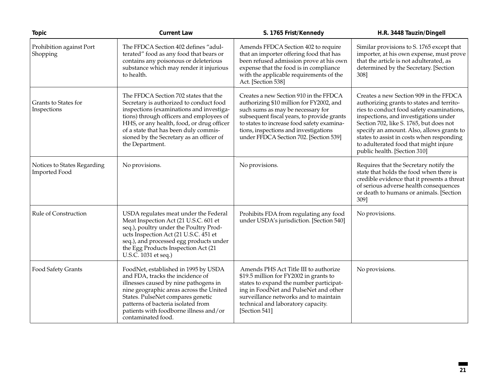| <b>Topic</b>                                        | <b>Current Law</b>                                                                                                                                                                                                                                                                                                            | S. 1765 Frist/Kennedy                                                                                                                                                                                                                                                                                  | H.R. 3448 Tauzin/Dingell                                                                                                                                                                                                                                                                                                                                                                |
|-----------------------------------------------------|-------------------------------------------------------------------------------------------------------------------------------------------------------------------------------------------------------------------------------------------------------------------------------------------------------------------------------|--------------------------------------------------------------------------------------------------------------------------------------------------------------------------------------------------------------------------------------------------------------------------------------------------------|-----------------------------------------------------------------------------------------------------------------------------------------------------------------------------------------------------------------------------------------------------------------------------------------------------------------------------------------------------------------------------------------|
| Prohibition against Port<br>Shopping                | The FFDCA Section 402 defines "adul-<br>terated" food as any food that bears or<br>contains any poisonous or deleterious<br>substance which may render it injurious<br>to health.                                                                                                                                             | Amends FFDCA Section 402 to require<br>that an importer offering food that has<br>been refused admission prove at his own<br>expense that the food is in compliance<br>with the applicable requirements of the<br>Act. [Section 538]                                                                   | Similar provisions to S. 1765 except that<br>importer, at his own expense, must prove<br>that the article is not adulterated, as<br>determined by the Secretary. [Section<br>308]                                                                                                                                                                                                       |
| Grants to States for<br>Inspections                 | The FFDCA Section 702 states that the<br>Secretary is authorized to conduct food<br>inspections (examinations and investiga-<br>tions) through officers and employees of<br>HHS, or any health, food, or drug officer<br>of a state that has been duly commis-<br>sioned by the Secretary as an officer of<br>the Department. | Creates a new Section 910 in the FFDCA<br>authorizing \$10 million for FY2002, and<br>such sums as may be necessary for<br>subsequent fiscal years, to provide grants<br>to states to increase food safety examina-<br>tions, inspections and investigations<br>under FFDCA Section 702. [Section 539] | Creates a new Section 909 in the FFDCA<br>authorizing grants to states and territo-<br>ries to conduct food safety examinations,<br>inspections, and investigations under<br>Section 702, like S. 1765, but does not<br>specify an amount. Also, allows grants to<br>states to assist in costs when responding<br>to adulterated food that might injure<br>public health. [Section 310] |
| Notices to States Regarding<br><b>Imported Food</b> | No provisions.                                                                                                                                                                                                                                                                                                                | No provisions.                                                                                                                                                                                                                                                                                         | Requires that the Secretary notify the<br>state that holds the food when there is<br>credible evidence that it presents a threat<br>of serious adverse health consequences<br>or death to humans or animals. [Section<br>309]                                                                                                                                                           |
| Rule of Construction                                | USDA regulates meat under the Federal<br>Meat Inspection Act (21 U.S.C. 601 et<br>seq.), poultry under the Poultry Prod-<br>ucts Inspection Act (21 U.S.C. 451 et<br>seq.), and processed egg products under<br>the Egg Products Inspection Act (21<br>U.S.C. 1031 et seq.)                                                   | Prohibits FDA from regulating any food<br>under USDA's jurisdiction. [Section 540]                                                                                                                                                                                                                     | No provisions.                                                                                                                                                                                                                                                                                                                                                                          |
| Food Safety Grants                                  | FoodNet, established in 1995 by USDA<br>and FDA, tracks the incidence of<br>illnesses caused by nine pathogens in<br>nine geographic areas across the United<br>States. PulseNet compares genetic<br>patterns of bacteria isolated from<br>patients with foodborne illness and/or<br>contaminated food.                       | Amends PHS Act Title III to authorize<br>\$19.5 million for FY2002 in grants to<br>states to expand the number participat-<br>ing in FoodNet and PulseNet and other<br>surveillance networks and to maintain<br>technical and laboratory capacity.<br>[Section 541]                                    | No provisions.                                                                                                                                                                                                                                                                                                                                                                          |